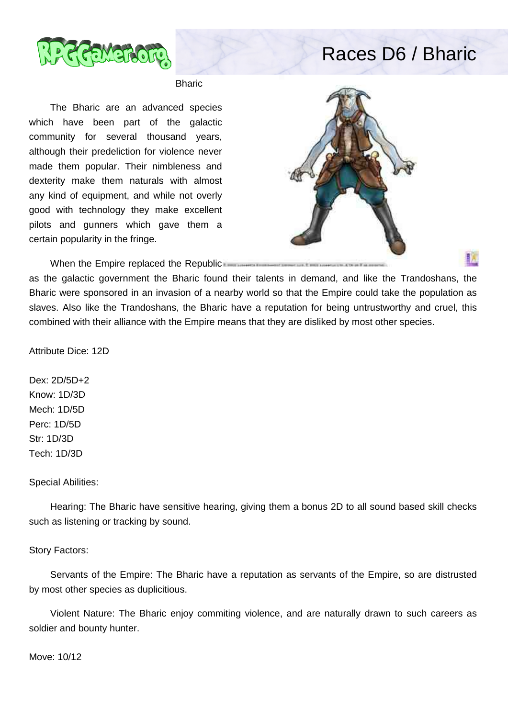

## Races D6 / Bharic

Bharic

 The Bharic are an advanced species which have been part of the galactic community for several thousand years, although their predeliction for violence never made them popular. Their nimbleness and dexterity make them naturals with almost any kind of equipment, and while not overly good with technology they make excellent pilots and gunners which gave them a certain popularity in the fringe.



When the Empire replaced the Republic

as the galactic government the Bharic found their talents in demand, and like the Trandoshans, the Bharic were sponsored in an invasion of a nearby world so that the Empire could take the population as slaves. Also like the Trandoshans, the Bharic have a reputation for being untrustworthy and cruel, this combined with their alliance with the Empire means that they are disliked by most other species.

Attribute Dice: 12D

Dex: 2D/5D+2 Know: 1D/3D Mech: 1D/5D Perc: 1D/5D Str: 1D/3D Tech: 1D/3D

## Special Abilities:

 Hearing: The Bharic have sensitive hearing, giving them a bonus 2D to all sound based skill checks such as listening or tracking by sound.

## Story Factors:

 Servants of the Empire: The Bharic have a reputation as servants of the Empire, so are distrusted by most other species as duplicitious.

 Violent Nature: The Bharic enjoy commiting violence, and are naturally drawn to such careers as soldier and bounty hunter.